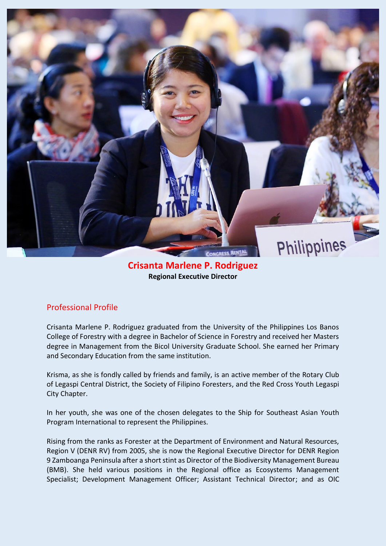

## **Crisanta Marlene P. Rodriguez Regional Executive Director**

## Professional Profile

Crisanta Marlene P. Rodriguez graduated from the University of the Philippines Los Banos College of Forestry with a degree in Bachelor of Science in Forestry and received her Masters degree in Management from the Bicol University Graduate School. She earned her Primary and Secondary Education from the same institution.

Krisma, as she is fondly called by friends and family, is an active member of the Rotary Club of Legaspi Central District, the Society of Filipino Foresters, and the Red Cross Youth Legaspi City Chapter.

In her youth, she was one of the chosen delegates to the Ship for Southeast Asian Youth Program International to represent the Philippines.

Rising from the ranks as Forester at the Department of Environment and Natural Resources, Region V (DENR RV) from 2005, she is now the Regional Executive Director for DENR Region 9 Zamboanga Peninsula after a short stint as Director of the Biodiversity Management Bureau (BMB). She held various positions in the Regional office as Ecosystems Management Specialist; Development Management Officer; Assistant Technical Director; and as OIC